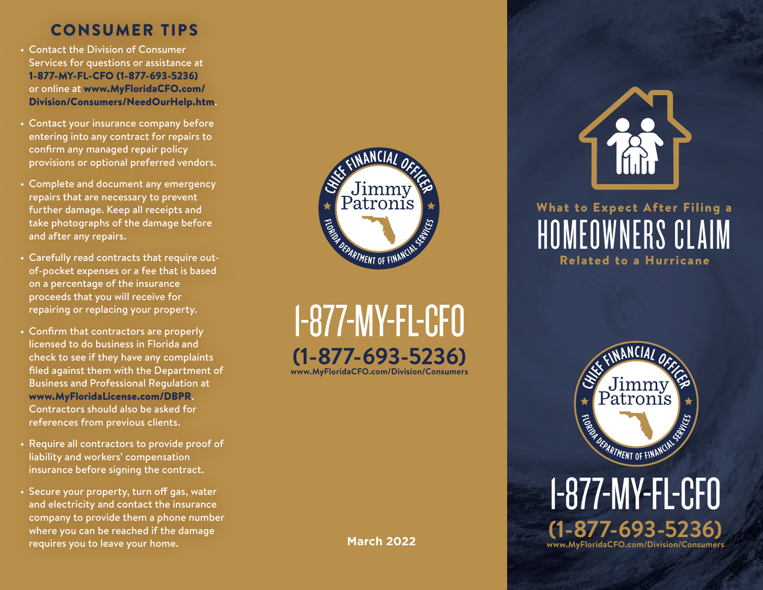## CONSUMER TIPS

- Contact the Division of Consumer Services for questions or assistance at 1-877-MY-FL-CFO (1-877-693-5236) or online at [www.MyFloridaCFO.com/](http://www.MyFloridaCFO.com/Division/Consumers/NeedOurHelp.htm) [Division/Consumers/NeedOurHelp.htm](http://www.MyFloridaCFO.com/Division/Consumers/NeedOurHelp.htm).
- Contact your insurance company before entering into any contract for repairs to confirm any managed repair policy provisions or optional preferred vendors.
- Complete and document any emergency repairs that are necessary to prevent further damage. Keep all receipts and take photographs of the damage before and after any repairs.
- Carefully read contracts that require outof-pocket expenses or a fee that is based on a percentage of the insurance proceeds that you will receive for repairing or replacing your property.
- Confirm that contractors are properly licensed to do business in Florida and check to see if they have any complaints filed against them with the Department of Business and Professional Regulation at [www.MyFloridaLicense.com/DBPR](http://www.MyFloridaLicense.com/DBPR). Contractors should also be asked for references from previous clients.
- Require all contractors to provide proof of liability and workers' compensation insurance before signing the contract.
- Secure your property, turn off gas, water and electricity and contact the insurance company to provide them a phone number where you can be reached if the damage requires you to leave your home.



1-877-MY-FL-CFO **(1-877-693-5236) [www.MyFloridaCFO.com/Division/Consumers](http://www.MyFloridaCFO.com/Division/Consumers)**

**March 2022**







1-877-MY-FL-CFO **(1-877-693-5236) [www.MyFloridaCFO.com/Division/Consumers](http://www.MyFloridaCFO.com/Division/Consumers)**